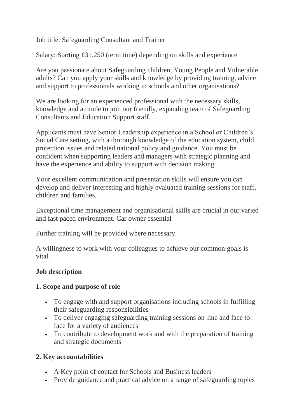Job title: Safeguarding Consultant and Trainer

Salary: Starting £31,250 (term time) depending on skills and experience

Are you passionate about Safeguarding children, Young People and Vulnerable adults? Can you apply your skills and knowledge by providing training, advice and support to professionals working in schools and other organisations?

We are looking for an experienced professional with the necessary skills, knowledge and attitude to join our friendly, expanding team of Safeguarding Consultants and Education Support staff.

Applicants must have Senior Leadership experience in a School or Children's Social Care setting, with a thorough knowledge of the education system, child protection issues and related national policy and guidance. You must be confident when supporting leaders and managers with strategic planning and have the experience and ability to support with decision making.

Your excellent communication and presentation skills will ensure you can develop and deliver interesting and highly evaluated training sessions for staff, children and families.

Exceptional time management and organisational skills are crucial in our varied and fast paced environment. Car owner essential

Further training will be provided where necessary.

A willingness to work with your colleagues to achieve our common goals is vital.

# **Job description**

## **1. Scope and purpose of role**

- To engage with and support organisations including schools in fulfilling their safeguarding responsibilities
- To deliver engaging safeguarding training sessions on-line and face to face for a variety of audiences
- To contribute to development work and with the preparation of training and strategic documents

# **2. Key accountabilities**

- A Key point of contact for Schools and Business leaders
- Provide guidance and practical advice on a range of safeguarding topics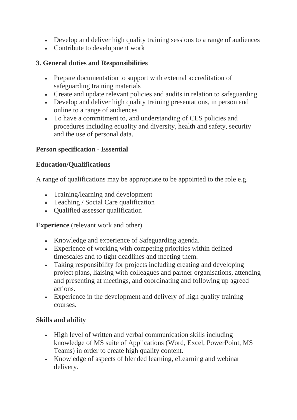- Develop and deliver high quality training sessions to a range of audiences
- Contribute to development work

## **3. General duties and Responsibilities**

- Prepare documentation to support with external accreditation of safeguarding training materials
- Create and update relevant policies and audits in relation to safeguarding
- Develop and deliver high quality training presentations, in person and online to a range of audiences
- To have a commitment to, and understanding of CES policies and procedures including equality and diversity, health and safety, security and the use of personal data.

## **Person specification - Essential**

#### **Education/Qualifications**

A range of qualifications may be appropriate to be appointed to the role e.g.

- Training/learning and development
- Teaching / Social Care qualification
- Oualified assessor qualification

**Experience** (relevant work and other)

- Knowledge and experience of Safeguarding agenda.
- Experience of working with competing priorities within defined timescales and to tight deadlines and meeting them.
- Taking responsibility for projects including creating and developing project plans, liaising with colleagues and partner organisations, attending and presenting at meetings, and coordinating and following up agreed actions.
- Experience in the development and delivery of high quality training courses.

## **Skills and ability**

- High level of written and verbal communication skills including knowledge of MS suite of Applications (Word, Excel, PowerPoint, MS Teams) in order to create high quality content.
- Knowledge of aspects of blended learning, eLearning and webinar delivery.